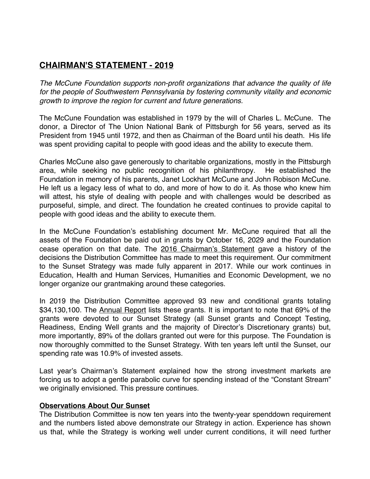## **CHAIRMAN'S STATEMENT - 2019**

*The McCune Foundation supports non-profit organizations that advance the quality of life for the people of Southwestern Pennsylvania by fostering community vitality and economic growth to improve the region for current and future generations.*

The McCune Foundation was established in 1979 by the will of Charles L. McCune. The donor, a Director of The Union National Bank of Pittsburgh for 56 years, served as its President from 1945 until 1972, and then as Chairman of the Board until his death. His life was spent providing capital to people with good ideas and the ability to execute them.

Charles McCune also gave generously to charitable organizations, mostly in the Pittsburgh area, while seeking no public recognition of his philanthropy. He established the Foundation in memory of his parents, Janet Lockhart McCune and John Robison McCune. He left us a legacy less of what to do, and more of how to do it. As those who knew him will attest, his style of dealing with people and with challenges would be described as purposeful, simple, and direct. The foundation he created continues to provide capital to people with good ideas and the ability to execute them.

In the McCune Foundation's establishing document Mr. McCune required that all the assets of the Foundation be paid out in grants by October 16, 2029 and the Foundation cease operation on that date. The 2016 Chairman's Statement gave a history of the decisions the Distribution Committee has made to meet this requirement. Our commitment to the Sunset Strategy was made fully apparent in 2017. While our work continues in Education, Health and Human Services, Humanities and Economic Development, we no longer organize our grantmaking around these categories.

In 2019 the Distribution Committee approved 93 new and conditional grants totaling \$34,130,100. The Annual Report lists these grants. It is important to note that 69% of the grants were devoted to our Sunset Strategy (all Sunset grants and Concept Testing, Readiness, Ending Well grants and the majority of Director's Discretionary grants) but, more importantly, 89% of the dollars granted out were for this purpose. The Foundation is now thoroughly committed to the Sunset Strategy. With ten years left until the Sunset, our spending rate was 10.9% of invested assets.

Last year's Chairman's Statement explained how the strong investment markets are forcing us to adopt a gentle parabolic curve for spending instead of the "Constant Stream" we originally envisioned. This pressure continues.

## **Observations About Our Sunset**

The Distribution Committee is now ten years into the twenty-year spenddown requirement and the numbers listed above demonstrate our Strategy in action. Experience has shown us that, while the Strategy is working well under current conditions, it will need further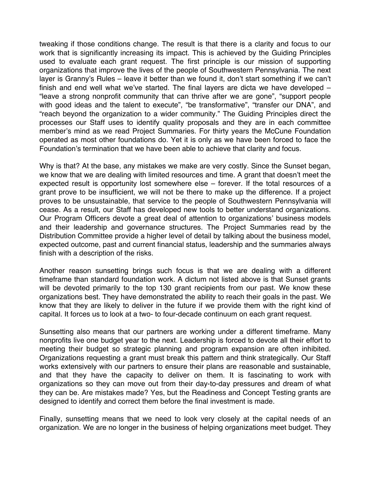tweaking if those conditions change. The result is that there is a clarity and focus to our work that is significantly increasing its impact. This is achieved by the Guiding Principles used to evaluate each grant request. The first principle is our mission of supporting organizations that improve the lives of the people of Southwestern Pennsylvania. The next layer is Granny's Rules – leave it better than we found it, don't start something if we can't finish and end well what we've started. The final layers are dicta we have developed – "leave a strong nonprofit community that can thrive after we are gone", "support people with good ideas and the talent to execute", "be transformative", "transfer our DNA", and "reach beyond the organization to a wider community." The Guiding Principles direct the processes our Staff uses to identify quality proposals and they are in each committee member's mind as we read Project Summaries. For thirty years the McCune Foundation operated as most other foundations do. Yet it is only as we have been forced to face the Foundation's termination that we have been able to achieve that clarity and focus.

Why is that? At the base, any mistakes we make are very costly. Since the Sunset began, we know that we are dealing with limited resources and time. A grant that doesn't meet the expected result is opportunity lost somewhere else – forever. If the total resources of a grant prove to be insufficient, we will not be there to make up the difference. If a project proves to be unsustainable, that service to the people of Southwestern Pennsylvania will cease. As a result, our Staff has developed new tools to better understand organizations. Our Program Officers devote a great deal of attention to organizations' business models and their leadership and governance structures. The Project Summaries read by the Distribution Committee provide a higher level of detail by talking about the business model, expected outcome, past and current financial status, leadership and the summaries always finish with a description of the risks.

Another reason sunsetting brings such focus is that we are dealing with a different timeframe than standard foundation work. A dictum not listed above is that Sunset grants will be devoted primarily to the top 130 grant recipients from our past. We know these organizations best. They have demonstrated the ability to reach their goals in the past. We know that they are likely to deliver in the future if we provide them with the right kind of capital. It forces us to look at a two- to four-decade continuum on each grant request.

Sunsetting also means that our partners are working under a different timeframe. Many nonprofits live one budget year to the next. Leadership is forced to devote all their effort to meeting their budget so strategic planning and program expansion are often inhibited. Organizations requesting a grant must break this pattern and think strategically. Our Staff works extensively with our partners to ensure their plans are reasonable and sustainable, and that they have the capacity to deliver on them. It is fascinating to work with organizations so they can move out from their day-to-day pressures and dream of what they can be. Are mistakes made? Yes, but the Readiness and Concept Testing grants are designed to identify and correct them before the final investment is made.

Finally, sunsetting means that we need to look very closely at the capital needs of an organization. We are no longer in the business of helping organizations meet budget. They